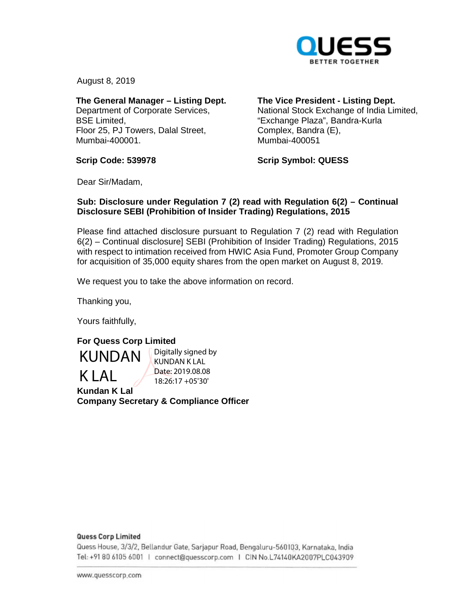

August 8, 2019

**The General Manager – Listing Dept.**  Department of Corporate Services, BSE Limited, Floor 25, PJ Towers, Dalal Street, Mumbai-400001.

**The Vice President - Listing Dept.** 

National Stock Exchange of India Limited, "Exchange Plaza", Bandra-Kurla Complex, Bandra (E), Mumbai-400051

**Scrip Code: 539978** 

**Scrip Symbol: QUESS** 

Dear Sir/Madam,

## **Sub: Disclosure under Regulation 7 (2) read with Regulation 6(2) – Continual Disclosure SEBI (Prohibition of Insider Trading) Regulations, 2015**

Please find attached disclosure pursuant to Regulation 7 (2) read with Regulation 6(2) – Continual disclosure] SEBI (Prohibition of Insider Trading) Regulations, 2015 with respect to intimation received from HWIC Asia Fund, Promoter Group Company for acquisition of 35,000 equity shares from the open market on August 8, 2019.

We request you to take the above information on record.

Thanking you,

Yours faithfully,

## **For Quess Corp Limited**

KUNDAN K LAL

Digitally signed by KUNDAN K LAL Date: 2019.08.08 18:26:17 +05'30'

**Kundan K Lal Company Secretary & Compliance Officer** 

### **Quess Corp Limited**

Quess House, 3/3/2, Bellandur Gate, Sarjapur Road, Bengaluru-560103, Karnataka, India om <sup>0</sup>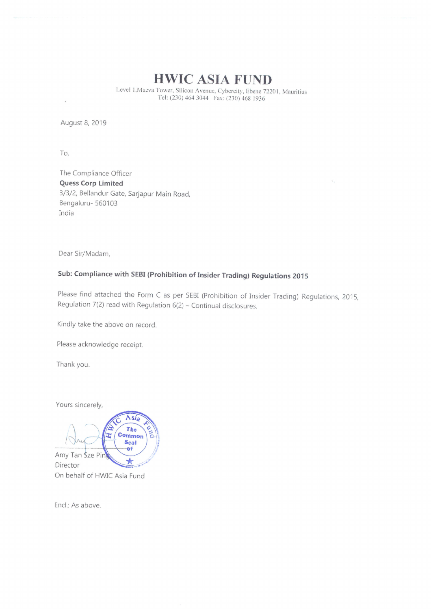# HWIC ASIA FUND

Level 1, Maeva Tower, Silicon Avenue, Cybercity, Ebene 72201, Mauritius Tel: (230) 464 3044 Fax: (230) 468 1936

August 8, 2019

To,

The Compliance Officer Quess Corp limited 3/3/2, Bellandur Gate, Sarjapur Main Road, Bengaluru- 560103 India

Dear Sir/Madam,

# Sub: Compliance with SEBI (Prohibition of Insider Trading) Regulations <sup>2015</sup>

Please find attached the Form <sup>C</sup> as per SES! (Prohibition of Insider Trading) Regulations, 2015, Regulation 7(2) read with Regulation  $6(2)$  - Continual disclosures.

Kindly take the above on record.

Please acknowledge receipt.

Thank you.

Yours sincerely,



Encl.: As above.